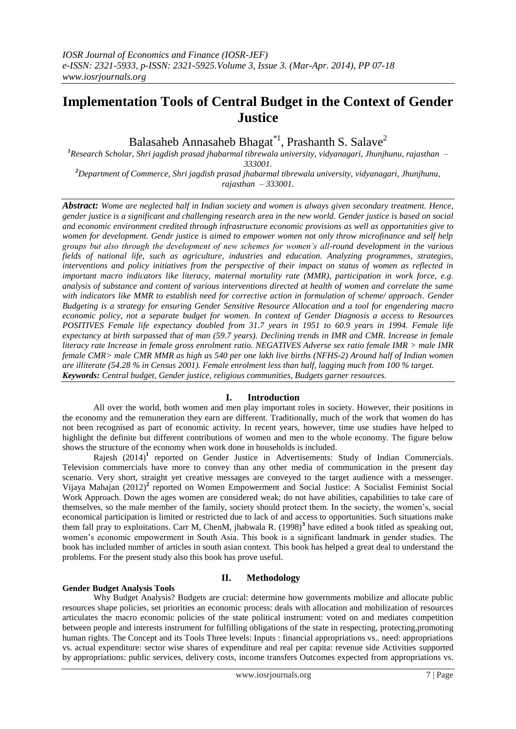# **Implementation Tools of Central Budget in the Context of Gender Justice**

Balasaheb Annasaheb Bhagat\*<sup>1</sup>, Prashanth S. Salave<sup>2</sup>

*<sup>1</sup>Research Scholar, Shri jagdish prasad jhabarmal tibrewala university, vidyanagari, Jhunjhunu, rajasthan – 333001.*

*<sup>2</sup>Department of Commerce, Shri jagdish prasad jhabarmal tibrewala university, vidyanagari, Jhunjhunu, rajasthan – 333001.*

*Abstract: Wome are neglected half in Indian society and women is always given secondary treatment. Hence, gender justice is a significant and challenging research area in the new world. Gender justice is based on social and economic environment credited through infrastructure economic provisions as well as opportunities give to women for development. Gendr justice is aimed to empower women not only throw microfinance and self help groups but also through the development of new schemes for women's all-round development in the various fields of national life, such as agriculture, industries and education. Analyzing programmes, strategies, interventions and policy initiatives from the perspective of their impact on status of women as reflected in important macro indicators like literacy, maternal mortality rate (MMR), participation in work force, e.g. analysis of substance and content of various interventions directed at health of women and correlate the same with indicators like MMR to establish need for corrective action in formulation of scheme/ approach. Gender Budgeting is a strategy for ensuring Gender Sensitive Resource Allocation and a tool for engendering macro economic policy, not a separate budget for women. In context of Gender Diagnosis a access to Resources POSITIVES Female life expectancy doubled from 31.7 years in 1951 to 60.9 years in 1994. Female life expectancy at birth surpassed that of man (59.7 years). Declining trends in IMR and CMR. Increase in female literacy rate Increase in female gross enrolment ratio. NEGATIVES Adverse sex ratio female IMR > male IMR female CMR> male CMR MMR as high as 540 per one lakh live births (NFHS-2) Around half of Indian women are illiterate (54.28 % in Census 2001). Female enrolment less than half, lagging much from 100 % target. Keywords: Central budget, Gender justice, religious communities, Budgets garner resources.*

### **I. Introduction**

All over the world, both women and men play important roles in society. However, their positions in the economy and the remuneration they earn are different. Traditionally, much of the work that women do has not been recognised as part of economic activity. In recent years, however, time use studies have helped to highlight the definite but different contributions of women and men to the whole economy. The figure below shows the structure of the economy when work done in households is included.

Rajesh (2014)<sup>1</sup> reported on Gender Justice in Advertisements: Study of Indian Commercials. Television commercials have more to convey than any other media of communication in the present day scenario. Very short, straight yet creative messages are conveyed to the target audience with a messenger. Vijaya Mahajan (2012)**<sup>2</sup>** reported on Women Empowerment and Social Justice: A Socialist Feminist Social Work Approach. Down the ages women are considered weak; do not have abilities, capabilities to take care of themselves, so the male member of the family, society should protect them. In the society, the women's, social economical participation is limited or restricted due to lack of and access to opportunities. Such situations make them fall pray to exploitations. Carr M, ChenM, jhabwala R. (1998)**<sup>3</sup>** have edited a book titled as speaking out, women's economic empowerment in South Asia. This book is a significant landmark in gender studies. The book has included number of articles in south asian context. This book has helped a great deal to understand the problems. For the present study also this book has prove useful.

## **II. Methodology**

### **Gender Budget Analysis Tools**

Why Budget Analysis? Budgets are crucial: determine how governments mobilize and allocate public resources shape policies, set priorities an economic process: deals with allocation and mobilization of resources articulates the macro economic policies of the state political instrument: voted on and mediates competition between people and interests instrument for fulfilling obligations of the state in respecting, protecting,promoting human rights. The Concept and its Tools Three levels: Inputs : financial appropriations vs.. need: appropriations vs. actual expenditure: sector wise shares of expenditure and real per capita: revenue side Activities supported by appropriations: public services, delivery costs, income transfers Outcomes expected from appropriations vs.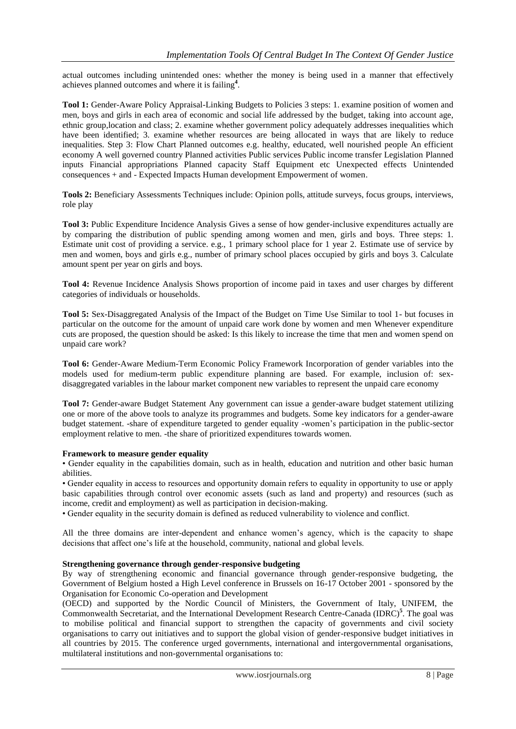actual outcomes including unintended ones: whether the money is being used in a manner that effectively achieves planned outcomes and where it is failing**<sup>4</sup>** .

**Tool 1:** Gender-Aware Policy Appraisal-Linking Budgets to Policies 3 steps: 1. examine position of women and men, boys and girls in each area of economic and social life addressed by the budget, taking into account age, ethnic group,location and class; 2. examine whether government policy adequately addresses inequalities which have been identified; 3. examine whether resources are being allocated in ways that are likely to reduce inequalities. Step 3: Flow Chart Planned outcomes e.g. healthy, educated, well nourished people An efficient economy A well governed country Planned activities Public services Public income transfer Legislation Planned inputs Financial appropriations Planned capacity Staff Equipment etc Unexpected effects Unintended consequences + and - Expected Impacts Human development Empowerment of women.

**Tools 2:** Beneficiary Assessments Techniques include: Opinion polls, attitude surveys, focus groups, interviews, role play

**Tool 3:** Public Expenditure Incidence Analysis Gives a sense of how gender-inclusive expenditures actually are by comparing the distribution of public spending among women and men, girls and boys. Three steps: 1. Estimate unit cost of providing a service. e.g., 1 primary school place for 1 year 2. Estimate use of service by men and women, boys and girls e.g., number of primary school places occupied by girls and boys 3. Calculate amount spent per year on girls and boys.

**Tool 4:** Revenue Incidence Analysis Shows proportion of income paid in taxes and user charges by different categories of individuals or households.

**Tool 5:** Sex-Disaggregated Analysis of the Impact of the Budget on Time Use Similar to tool 1- but focuses in particular on the outcome for the amount of unpaid care work done by women and men Whenever expenditure cuts are proposed, the question should be asked: Is this likely to increase the time that men and women spend on unpaid care work?

**Tool 6:** Gender-Aware Medium-Term Economic Policy Framework Incorporation of gender variables into the models used for medium-term public expenditure planning are based. For example, inclusion of: sexdisaggregated variables in the labour market component new variables to represent the unpaid care economy

**Tool 7:** Gender-aware Budget Statement Any government can issue a gender-aware budget statement utilizing one or more of the above tools to analyze its programmes and budgets. Some key indicators for a gender-aware budget statement. -share of expenditure targeted to gender equality -women's participation in the public-sector employment relative to men. -the share of prioritized expenditures towards women.

### **Framework to measure gender equality**

• Gender equality in the capabilities domain, such as in health, education and nutrition and other basic human abilities.

• Gender equality in access to resources and opportunity domain refers to equality in opportunity to use or apply basic capabilities through control over economic assets (such as land and property) and resources (such as income, credit and employment) as well as participation in decision-making.

• Gender equality in the security domain is defined as reduced vulnerability to violence and conflict.

All the three domains are inter-dependent and enhance women's agency, which is the capacity to shape decisions that affect one's life at the household, community, national and global levels.

### **Strengthening governance through gender-responsive budgeting**

By way of strengthening economic and financial governance through gender-responsive budgeting, the Government of Belgium hosted a High Level conference in Brussels on 16-17 October 2001 - sponsored by the Organisation for Economic Co-operation and Development

(OECD) and supported by the Nordic Council of Ministers, the Government of Italy, UNIFEM, the Commonwealth Secretariat, and the International Development Research Centre-Canada (IDRC)**<sup>5</sup>** . The goal was to mobilise political and financial support to strengthen the capacity of governments and civil society organisations to carry out initiatives and to support the global vision of gender-responsive budget initiatives in all countries by 2015. The conference urged governments, international and intergovernmental organisations, multilateral institutions and non-governmental organisations to: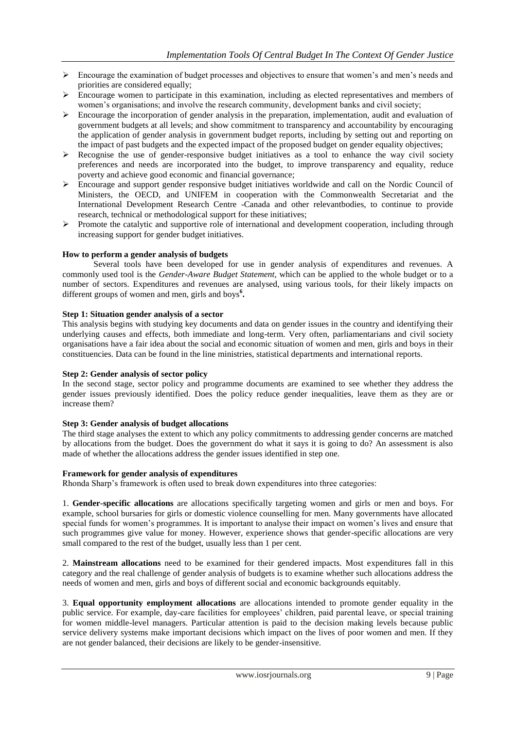- $\triangleright$  Encourage the examination of budget processes and objectives to ensure that women's and men's needs and priorities are considered equally;
- $\triangleright$  Encourage women to participate in this examination, including as elected representatives and members of women's organisations; and involve the research community, development banks and civil society;
- $\triangleright$  Encourage the incorporation of gender analysis in the preparation, implementation, audit and evaluation of government budgets at all levels; and show commitment to transparency and accountability by encouraging the application of gender analysis in government budget reports, including by setting out and reporting on the impact of past budgets and the expected impact of the proposed budget on gender equality objectives;
- $\triangleright$  Recognise the use of gender-responsive budget initiatives as a tool to enhance the way civil society preferences and needs are incorporated into the budget, to improve transparency and equality, reduce poverty and achieve good economic and financial governance;
- $\triangleright$  Encourage and support gender responsive budget initiatives worldwide and call on the Nordic Council of Ministers, the OECD, and UNIFEM in cooperation with the Commonwealth Secretariat and the International Development Research Centre -Canada and other relevantbodies, to continue to provide research, technical or methodological support for these initiatives;
- $\triangleright$  Promote the catalytic and supportive role of international and development cooperation, including through increasing support for gender budget initiatives.

### **How to perform a gender analysis of budgets**

Several tools have been developed for use in gender analysis of expenditures and revenues. A commonly used tool is the *Gender-Aware Budget Statement*, which can be applied to the whole budget or to a number of sectors. Expenditures and revenues are analysed, using various tools, for their likely impacts on different groups of women and men, girls and boys**<sup>6</sup> .**

### **Step 1: Situation gender analysis of a sector**

This analysis begins with studying key documents and data on gender issues in the country and identifying their underlying causes and effects, both immediate and long-term. Very often, parliamentarians and civil society organisations have a fair idea about the social and economic situation of women and men, girls and boys in their constituencies. Data can be found in the line ministries, statistical departments and international reports.

### **Step 2: Gender analysis of sector policy**

In the second stage, sector policy and programme documents are examined to see whether they address the gender issues previously identified. Does the policy reduce gender inequalities, leave them as they are or increase them?

### **Step 3: Gender analysis of budget allocations**

The third stage analyses the extent to which any policy commitments to addressing gender concerns are matched by allocations from the budget. Does the government do what it says it is going to do? An assessment is also made of whether the allocations address the gender issues identified in step one.

### **Framework for gender analysis of expenditures**

Rhonda Sharp's framework is often used to break down expenditures into three categories:

1. **Gender-specific allocations** are allocations specifically targeting women and girls or men and boys. For example, school bursaries for girls or domestic violence counselling for men. Many governments have allocated special funds for women's programmes. It is important to analyse their impact on women's lives and ensure that such programmes give value for money. However, experience shows that gender-specific allocations are very small compared to the rest of the budget, usually less than 1 per cent.

2. **Mainstream allocations** need to be examined for their gendered impacts. Most expenditures fall in this category and the real challenge of gender analysis of budgets is to examine whether such allocations address the needs of women and men, girls and boys of different social and economic backgrounds equitably.

3. **Equal opportunity employment allocations** are allocations intended to promote gender equality in the public service. For example, day-care facilities for employees' children, paid parental leave, or special training for women middle-level managers. Particular attention is paid to the decision making levels because public service delivery systems make important decisions which impact on the lives of poor women and men. If they are not gender balanced, their decisions are likely to be gender-insensitive.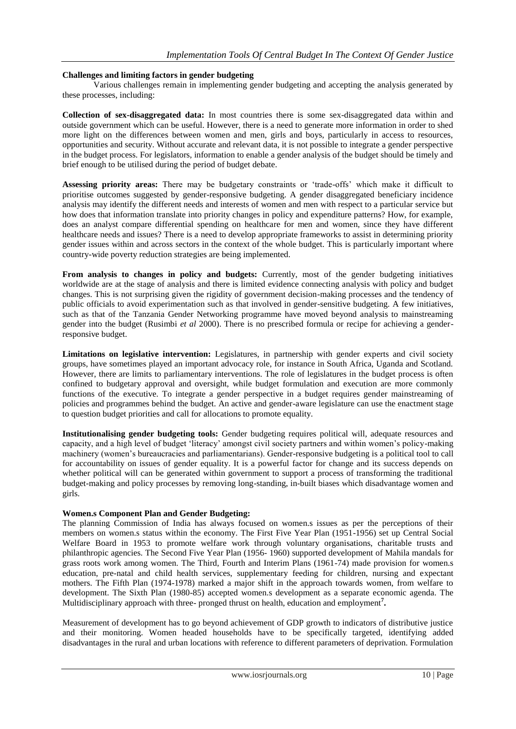### **Challenges and limiting factors in gender budgeting**

Various challenges remain in implementing gender budgeting and accepting the analysis generated by these processes, including:

**Collection of sex-disaggregated data:** In most countries there is some sex-disaggregated data within and outside government which can be useful. However, there is a need to generate more information in order to shed more light on the differences between women and men, girls and boys, particularly in access to resources, opportunities and security. Without accurate and relevant data, it is not possible to integrate a gender perspective in the budget process. For legislators, information to enable a gender analysis of the budget should be timely and brief enough to be utilised during the period of budget debate.

**Assessing priority areas:** There may be budgetary constraints or 'trade-offs' which make it difficult to prioritise outcomes suggested by gender-responsive budgeting. A gender disaggregated beneficiary incidence analysis may identify the different needs and interests of women and men with respect to a particular service but how does that information translate into priority changes in policy and expenditure patterns? How, for example, does an analyst compare differential spending on healthcare for men and women, since they have different healthcare needs and issues? There is a need to develop appropriate frameworks to assist in determining priority gender issues within and across sectors in the context of the whole budget. This is particularly important where country-wide poverty reduction strategies are being implemented.

**From analysis to changes in policy and budgets:** Currently, most of the gender budgeting initiatives worldwide are at the stage of analysis and there is limited evidence connecting analysis with policy and budget changes. This is not surprising given the rigidity of government decision-making processes and the tendency of public officials to avoid experimentation such as that involved in gender-sensitive budgeting. A few initiatives, such as that of the Tanzania Gender Networking programme have moved beyond analysis to mainstreaming gender into the budget (Rusimbi *et al* 2000). There is no prescribed formula or recipe for achieving a genderresponsive budget.

**Limitations on legislative intervention:** Legislatures, in partnership with gender experts and civil society groups, have sometimes played an important advocacy role, for instance in South Africa, Uganda and Scotland. However, there are limits to parliamentary interventions. The role of legislatures in the budget process is often confined to budgetary approval and oversight, while budget formulation and execution are more commonly functions of the executive. To integrate a gender perspective in a budget requires gender mainstreaming of policies and programmes behind the budget. An active and gender-aware legislature can use the enactment stage to question budget priorities and call for allocations to promote equality.

**Institutionalising gender budgeting tools:** Gender budgeting requires political will, adequate resources and capacity, and a high level of budget 'literacy' amongst civil society partners and within women's policy-making machinery (women's bureaucracies and parliamentarians). Gender-responsive budgeting is a political tool to call for accountability on issues of gender equality. It is a powerful factor for change and its success depends on whether political will can be generated within government to support a process of transforming the traditional budget-making and policy processes by removing long-standing, in-built biases which disadvantage women and girls.

### **Women.s Component Plan and Gender Budgeting:**

The planning Commission of India has always focused on women.s issues as per the perceptions of their members on women.s status within the economy. The First Five Year Plan (1951-1956) set up Central Social Welfare Board in 1953 to promote welfare work through voluntary organisations, charitable trusts and philanthropic agencies. The Second Five Year Plan (1956- 1960) supported development of Mahila mandals for grass roots work among women. The Third, Fourth and Interim Plans (1961-74) made provision for women.s education, pre-natal and child health services, supplementary feeding for children, nursing and expectant mothers. The Fifth Plan (1974-1978) marked a major shift in the approach towards women, from welfare to development. The Sixth Plan (1980-85) accepted women.s development as a separate economic agenda. The Multidisciplinary approach with three- pronged thrust on health, education and employment**<sup>7</sup> .**

Measurement of development has to go beyond achievement of GDP growth to indicators of distributive justice and their monitoring. Women headed households have to be specifically targeted, identifying added disadvantages in the rural and urban locations with reference to different parameters of deprivation. Formulation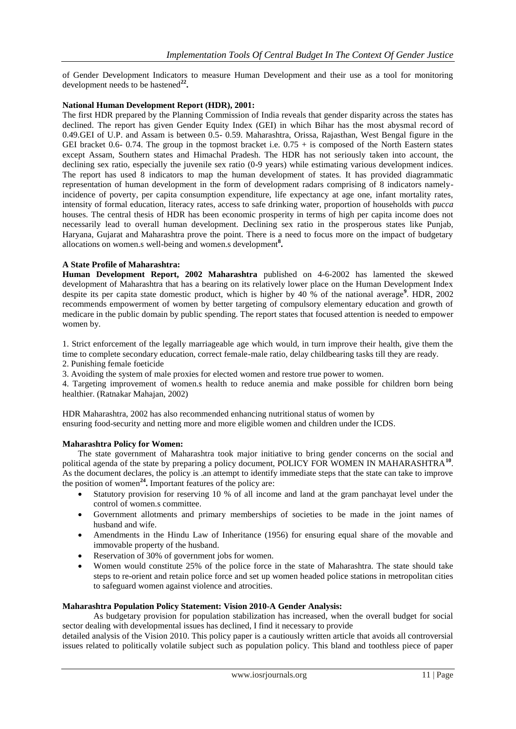of Gender Development Indicators to measure Human Development and their use as a tool for monitoring development needs to be hastened**<sup>22</sup> .**

### **National Human Development Report (HDR), 2001:**

The first HDR prepared by the Planning Commission of India reveals that gender disparity across the states has declined. The report has given Gender Equity Index (GEI) in which Bihar has the most abysmal record of 0.49.GEI of U.P. and Assam is between 0.5- 0.59. Maharashtra, Orissa, Rajasthan, West Bengal figure in the GEI bracket 0.6- 0.74. The group in the topmost bracket i.e.  $0.75 +$  is composed of the North Eastern states except Assam, Southern states and Himachal Pradesh. The HDR has not seriously taken into account, the declining sex ratio, especially the juvenile sex ratio (0-9 years) while estimating various development indices. The report has used 8 indicators to map the human development of states. It has provided diagrammatic representation of human development in the form of development radars comprising of 8 indicators namelyincidence of poverty, per capita consumption expenditure, life expectancy at age one, infant mortality rates, intensity of formal education, literacy rates, access to safe drinking water, proportion of households with *pucca*  houses. The central thesis of HDR has been economic prosperity in terms of high per capita income does not necessarily lead to overall human development. Declining sex ratio in the prosperous states like Punjab, Haryana, Gujarat and Maharashtra prove the point. There is a need to focus more on the impact of budgetary allocations on women.s well-being and women.s development**<sup>8</sup> .**

### **A State Profile of Maharashtra:**

**Human Development Report, 2002 Maharashtra** published on 4-6-2002 has lamented the skewed development of Maharashtra that has a bearing on its relatively lower place on the Human Development Index despite its per capita state domestic product, which is higher by 40 % of the national average**<sup>9</sup>** . HDR, 2002 recommends empowerment of women by better targeting of compulsory elementary education and growth of medicare in the public domain by public spending. The report states that focused attention is needed to empower women by.

1. Strict enforcement of the legally marriageable age which would, in turn improve their health, give them the time to complete secondary education, correct female-male ratio, delay childbearing tasks till they are ready. 2. Punishing female foeticide

3. Avoiding the system of male proxies for elected women and restore true power to women.

4. Targeting improvement of women.s health to reduce anemia and make possible for children born being healthier. (Ratnakar Mahajan, 2002)

HDR Maharashtra, 2002 has also recommended enhancing nutritional status of women by ensuring food-security and netting more and more eligible women and children under the ICDS.

### **Maharashtra Policy for Women:**

The state government of Maharashtra took major initiative to bring gender concerns on the social and political agenda of the state by preparing a policy document, POLICY FOR WOMEN IN MAHARASHTRA<sup>10</sup>. As the document declares, the policy is .an attempt to identify immediate steps that the state can take to improve the position of women**<sup>24</sup> .** Important features of the policy are:

- Statutory provision for reserving 10 % of all income and land at the gram panchayat level under the control of women.s committee.
- Government allotments and primary memberships of societies to be made in the joint names of husband and wife.
- Amendments in the Hindu Law of Inheritance (1956) for ensuring equal share of the movable and immovable property of the husband.
- Reservation of 30% of government jobs for women.
- Women would constitute 25% of the police force in the state of Maharashtra. The state should take steps to re-orient and retain police force and set up women headed police stations in metropolitan cities to safeguard women against violence and atrocities.

### **Maharashtra Population Policy Statement: Vision 2010-A Gender Analysis:**

As budgetary provision for population stabilization has increased, when the overall budget for social sector dealing with developmental issues has declined, I find it necessary to provide

detailed analysis of the Vision 2010. This policy paper is a cautiously written article that avoids all controversial issues related to politically volatile subject such as population policy. This bland and toothless piece of paper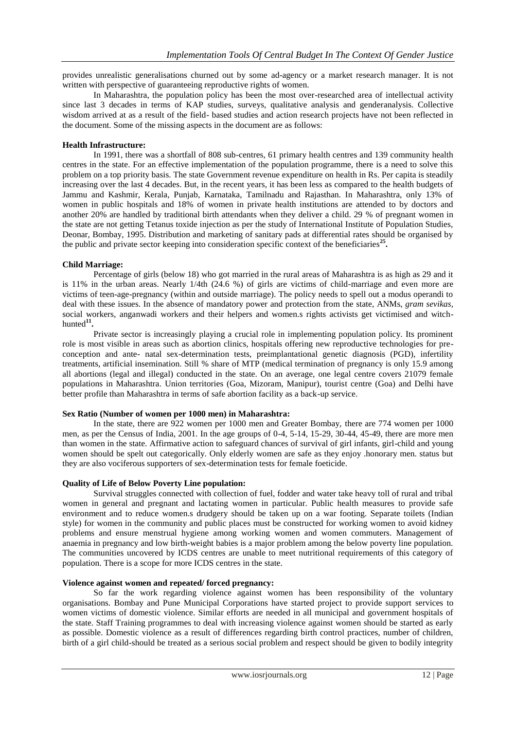provides unrealistic generalisations churned out by some ad-agency or a market research manager. It is not written with perspective of guaranteeing reproductive rights of women.

In Maharashtra, the population policy has been the most over-researched area of intellectual activity since last 3 decades in terms of KAP studies, surveys, qualitative analysis and genderanalysis. Collective wisdom arrived at as a result of the field- based studies and action research projects have not been reflected in the document. Some of the missing aspects in the document are as follows:

### **Health Infrastructure:**

In 1991, there was a shortfall of 808 sub-centres, 61 primary health centres and 139 community health centres in the state. For an effective implementation of the population programme, there is a need to solve this problem on a top priority basis. The state Government revenue expenditure on health in Rs. Per capita is steadily increasing over the last 4 decades. But, in the recent years, it has been less as compared to the health budgets of Jammu and Kashmir, Kerala, Punjab, Karnataka, Tamilnadu and Rajasthan. In Maharashtra, only 13% of women in public hospitals and 18% of women in private health institutions are attended to by doctors and another 20% are handled by traditional birth attendants when they deliver a child. 29 % of pregnant women in the state are not getting Tetanus toxide injection as per the study of International Institute of Population Studies, Deonar, Bombay, 1995. Distribution and marketing of sanitary pads at differential rates should be organised by the public and private sector keeping into consideration specific context of the beneficiaries<sup>25</sup>.

### **Child Marriage:**

Percentage of girls (below 18) who got married in the rural areas of Maharashtra is as high as 29 and it is 11% in the urban areas. Nearly 1/4th (24.6 %) of girls are victims of child-marriage and even more are victims of teen-age-pregnancy (within and outside marriage). The policy needs to spell out a modus operandi to deal with these issues. In the absence of mandatory power and protection from the state, ANMs, *gram sevikas,*  social workers, anganwadi workers and their helpers and women.s rights activists get victimised and witchhunted**<sup>11</sup> .**

Private sector is increasingly playing a crucial role in implementing population policy. Its prominent role is most visible in areas such as abortion clinics, hospitals offering new reproductive technologies for preconception and ante- natal sex-determination tests, preimplantational genetic diagnosis (PGD), infertility treatments, artificial insemination. Still % share of MTP (medical termination of pregnancy is only 15.9 among all abortions (legal and illegal) conducted in the state. On an average, one legal centre covers 21079 female populations in Maharashtra. Union territories (Goa, Mizoram, Manipur), tourist centre (Goa) and Delhi have better profile than Maharashtra in terms of safe abortion facility as a back-up service.

### **Sex Ratio (Number of women per 1000 men) in Maharashtra:**

In the state, there are 922 women per 1000 men and Greater Bombay, there are 774 women per 1000 men, as per the Census of India, 2001. In the age groups of 0-4, 5-14, 15-29, 30-44, 45-49, there are more men than women in the state. Affirmative action to safeguard chances of survival of girl infants, girl-child and young women should be spelt out categorically. Only elderly women are safe as they enjoy .honorary men. status but they are also vociferous supporters of sex-determination tests for female foeticide.

### **Quality of Life of Below Poverty Line population:**

Survival struggles connected with collection of fuel, fodder and water take heavy toll of rural and tribal women in general and pregnant and lactating women in particular. Public health measures to provide safe environment and to reduce women.s drudgery should be taken up on a war footing. Separate toilets (Indian style) for women in the community and public places must be constructed for working women to avoid kidney problems and ensure menstrual hygiene among working women and women commuters. Management of anaemia in pregnancy and low birth-weight babies is a major problem among the below poverty line population. The communities uncovered by ICDS centres are unable to meet nutritional requirements of this category of population. There is a scope for more ICDS centres in the state.

### **Violence against women and repeated/ forced pregnancy:**

So far the work regarding violence against women has been responsibility of the voluntary organisations. Bombay and Pune Municipal Corporations have started project to provide support services to women victims of domestic violence. Similar efforts are needed in all municipal and government hospitals of the state. Staff Training programmes to deal with increasing violence against women should be started as early as possible. Domestic violence as a result of differences regarding birth control practices, number of children, birth of a girl child-should be treated as a serious social problem and respect should be given to bodily integrity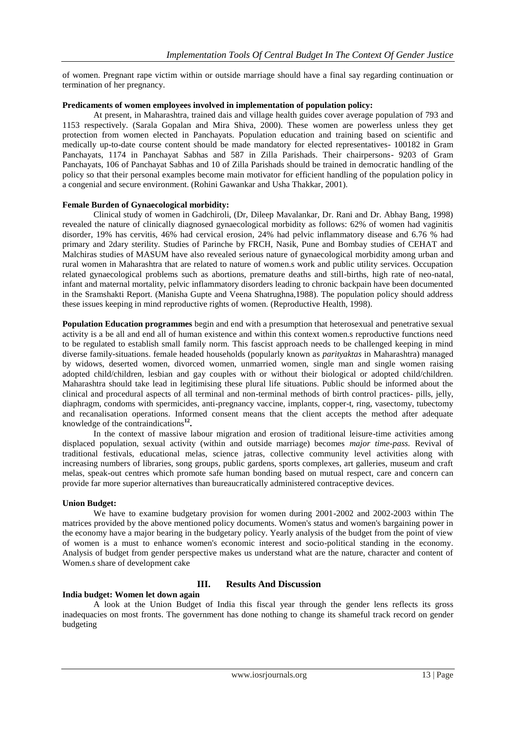of women. Pregnant rape victim within or outside marriage should have a final say regarding continuation or termination of her pregnancy.

### **Predicaments of women employees involved in implementation of population policy:**

At present, in Maharashtra, trained dais and village health guides cover average population of 793 and 1153 respectively. (Sarala Gopalan and Mira Shiva, 2000). These women are powerless unless they get protection from women elected in Panchayats. Population education and training based on scientific and medically up-to-date course content should be made mandatory for elected representatives- 100182 in Gram Panchayats, 1174 in Panchayat Sabhas and 587 in Zilla Parishads. Their chairpersons- 9203 of Gram Panchayats, 106 of Panchayat Sabhas and 10 of Zilla Parishads should be trained in democratic handling of the policy so that their personal examples become main motivator for efficient handling of the population policy in a congenial and secure environment. (Rohini Gawankar and Usha Thakkar, 2001).

### **Female Burden of Gynaecological morbidity:**

Clinical study of women in Gadchiroli, (Dr, Dileep Mavalankar, Dr. Rani and Dr. Abhay Bang, 1998) revealed the nature of clinically diagnosed gynaecological morbidity as follows: 62% of women had vaginitis disorder, 19% has cervitis, 46% had cervical erosion, 24% had pelvic inflammatory disease and 6.76 % had primary and 2dary sterility. Studies of Parinche by FRCH, Nasik, Pune and Bombay studies of CEHAT and Malchiras studies of MASUM have also revealed serious nature of gynaecological morbidity among urban and rural women in Maharashtra that are related to nature of women.s work and public utility services. Occupation related gynaecological problems such as abortions, premature deaths and still-births, high rate of neo-natal, infant and maternal mortality, pelvic inflammatory disorders leading to chronic backpain have been documented in the Sramshakti Report. (Manisha Gupte and Veena Shatrughna,1988). The population policy should address these issues keeping in mind reproductive rights of women. (Reproductive Health, 1998).

**Population Education programmes** begin and end with a presumption that heterosexual and penetrative sexual activity is a be all and end all of human existence and within this context women.s reproductive functions need to be regulated to establish small family norm. This fascist approach needs to be challenged keeping in mind diverse family-situations. female headed households (popularly known as *parityaktas* in Maharashtra) managed by widows, deserted women, divorced women, unmarried women, single man and single women raising adopted child/children, lesbian and gay couples with or without their biological or adopted child/children. Maharashtra should take lead in legitimising these plural life situations. Public should be informed about the clinical and procedural aspects of all terminal and non-terminal methods of birth control practices- pills, jelly, diaphragm, condoms with spermicides, anti-pregnancy vaccine, implants, copper-t, ring, vasectomy, tubectomy and recanalisation operations. Informed consent means that the client accepts the method after adequate knowledge of the contraindications**<sup>12</sup> .**

In the context of massive labour migration and erosion of traditional leisure-time activities among displaced population, sexual activity (within and outside marriage) becomes *major time-pass.* Revival of traditional festivals, educational melas, science jatras, collective community level activities along with increasing numbers of libraries, song groups, public gardens, sports complexes, art galleries, museum and craft melas, speak-out centres which promote safe human bonding based on mutual respect, care and concern can provide far more superior alternatives than bureaucratically administered contraceptive devices.

### **Union Budget:**

We have to examine budgetary provision for women during 2001-2002 and 2002-2003 within The matrices provided by the above mentioned policy documents. Women's status and women's bargaining power in the economy have a major bearing in the budgetary policy. Yearly analysis of the budget from the point of view of women is a must to enhance women's economic interest and socio-political standing in the economy. Analysis of budget from gender perspective makes us understand what are the nature, character and content of Women.s share of development cake

### **India budget: Women let down again**

### **III. Results And Discussion**

A look at the Union Budget of India this fiscal year through the gender lens reflects its gross inadequacies on most fronts. The government has done nothing to change its shameful track record on gender budgeting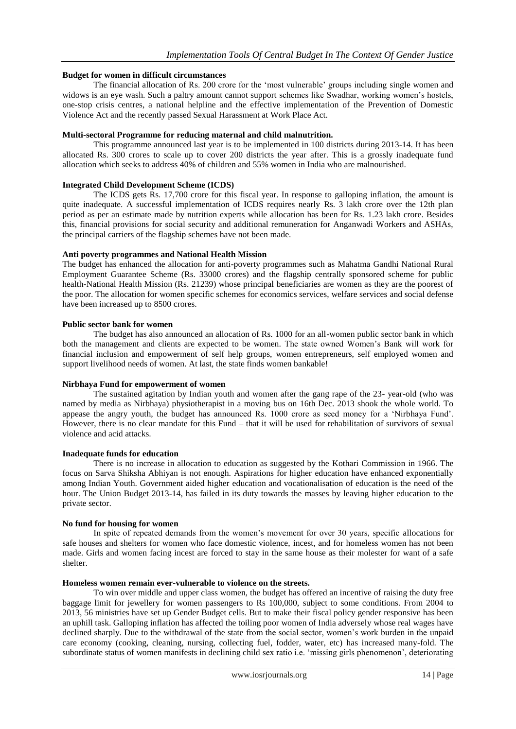### **Budget for women in difficult circumstances**

The financial allocation of Rs. 200 crore for the 'most vulnerable' groups including single women and widows is an eye wash. Such a paltry amount cannot support schemes like Swadhar, working women's hostels, one-stop crisis centres, a national helpline and the effective implementation of the Prevention of Domestic Violence Act and the recently passed Sexual Harassment at Work Place Act.

### **Multi-sectoral Programme for reducing maternal and child malnutrition.**

This programme announced last year is to be implemented in 100 districts during 2013-14. It has been allocated Rs. 300 crores to scale up to cover 200 districts the year after. This is a grossly inadequate fund allocation which seeks to address 40% of children and 55% women in India who are malnourished.

### **Integrated Child Development Scheme (ICDS)**

The ICDS gets Rs. 17,700 crore for this fiscal year. In response to galloping inflation, the amount is quite inadequate. A successful implementation of ICDS requires nearly Rs. 3 lakh crore over the 12th plan period as per an estimate made by nutrition experts while allocation has been for Rs. 1.23 lakh crore. Besides this, financial provisions for social security and additional remuneration for Anganwadi Workers and ASHAs, the principal carriers of the flagship schemes have not been made.

### **Anti poverty programmes and National Health Mission**

The budget has enhanced the allocation for anti-poverty programmes such as Mahatma Gandhi National Rural Employment Guarantee Scheme (Rs. 33000 crores) and the flagship centrally sponsored scheme for public health-National Health Mission (Rs. 21239) whose principal beneficiaries are women as they are the poorest of the poor. The allocation for women specific schemes for economics services, welfare services and social defense have been increased up to 8500 crores.

### **Public sector bank for women**

The budget has also announced an allocation of Rs. 1000 for an all-women public sector bank in which both the management and clients are expected to be women. The state owned Women's Bank will work for financial inclusion and empowerment of self help groups, women entrepreneurs, self employed women and support livelihood needs of women. At last, the state finds women bankable!

### **Nirbhaya Fund for empowerment of women**

The sustained agitation by Indian youth and women after the gang rape of the 23- year-old (who was named by media as Nirbhaya) physiotherapist in a moving bus on 16th Dec. 2013 shook the whole world. To appease the angry youth, the budget has announced Rs. 1000 crore as seed money for a 'Nirbhaya Fund'. However, there is no clear mandate for this Fund – that it will be used for rehabilitation of survivors of sexual violence and acid attacks.

### **Inadequate funds for education**

There is no increase in allocation to education as suggested by the Kothari Commission in 1966. The focus on Sarva Shiksha Abhiyan is not enough. Aspirations for higher education have enhanced exponentially among Indian Youth. Government aided higher education and vocationalisation of education is the need of the hour. The Union Budget 2013-14, has failed in its duty towards the masses by leaving higher education to the private sector.

### **No fund for housing for women**

In spite of repeated demands from the women's movement for over 30 years, specific allocations for safe houses and shelters for women who face domestic violence, incest, and for homeless women has not been made. Girls and women facing incest are forced to stay in the same house as their molester for want of a safe shelter.

### **Homeless women remain ever-vulnerable to violence on the streets.**

To win over middle and upper class women, the budget has offered an incentive of raising the duty free baggage limit for jewellery for women passengers to Rs 100,000, subject to some conditions. From 2004 to 2013, 56 ministries have set up Gender Budget cells. But to make their fiscal policy gender responsive has been an uphill task. Galloping inflation has affected the toiling poor women of India adversely whose real wages have declined sharply. Due to the withdrawal of the state from the social sector, women's work burden in the unpaid care economy (cooking, cleaning, nursing, collecting fuel, fodder, water, etc) has increased many-fold. The subordinate status of women manifests in declining child sex ratio i.e. 'missing girls phenomenon', deteriorating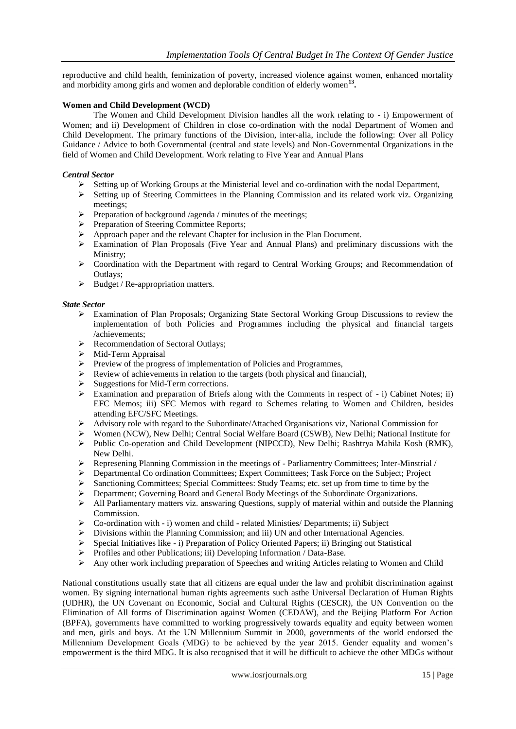reproductive and child health, feminization of poverty, increased violence against women, enhanced mortality and morbidity among girls and women and deplorable condition of elderly women**<sup>13</sup> .**

### **Women and Child Development (WCD)**

The Women and Child Development Division handles all the work relating to - i) Empowerment of Women; and ii) Development of Children in close co-ordination with the nodal Department of Women and Child Development. The primary functions of the Division, inter-alia, include the following: Over all Policy Guidance / Advice to both Governmental (central and state levels) and Non-Governmental Organizations in the field of Women and Child Development. Work relating to Five Year and Annual Plans

### *Central Sector*

- $\triangleright$  Setting up of Working Groups at the Ministerial level and co-ordination with the nodal Department,
- $\triangleright$  Setting up of Steering Committees in the Planning Commission and its related work viz. Organizing meetings;
- $\triangleright$  Preparation of background /agenda / minutes of the meetings;
- Preparation of Steering Committee Reports;
- Approach paper and the relevant Chapter for inclusion in the Plan Document.<br>
Fxamination of Plan Proposals (Five Year and Annual Plans) and preliming
- Examination of Plan Proposals (Five Year and Annual Plans) and preliminary discussions with the Ministry;
- $\triangleright$  Coordination with the Department with regard to Central Working Groups; and Recommendation of Outlays;
- $\triangleright$  Budget / Re-appropriation matters.

### *State Sector*

- Examination of Plan Proposals; Organizing State Sectoral Working Group Discussions to review the implementation of both Policies and Programmes including the physical and financial targets /achievements;
- Recommendation of Sectoral Outlays;
- $\triangleright$  Mid-Term Appraisal
- Preview of the progress of implementation of Policies and Programmes,<br>Preview of achievements in relation to the targets (both physical and finally)
- Review of achievements in relation to the targets (both physical and financial),
- $\triangleright$  Suggestions for Mid-Term corrections.
- Examination and preparation of Briefs along with the Comments in respect of  $-$  i) Cabinet Notes; ii) EFC Memos; iii) SFC Memos with regard to Schemes relating to Women and Children, besides attending EFC/SFC Meetings.
- $\triangleright$  Advisory role with regard to the Subordinate/Attached Organisations viz, National Commission for
- Women (NCW), New Delhi; Central Social Welfare Board (CSWB), New Delhi; National Institute for
- $\triangleright$  Public Co-operation and Child Development (NIPCCD), New Delhi; Rashtrya Mahila Kosh (RMK), New Delhi.
- $\triangleright$  Represening Planning Commission in the meetings of Parliamentry Committees; Inter-Minstrial /
- Departmental Co ordination Committees; Expert Committees; Task Force on the Subject; Project
- $\triangleright$  Sanctioning Committees; Special Committees: Study Teams; etc. set up from time to time by the
- Department; Governing Board and General Body Meetings of the Subordinate Organizations.
- $\triangleright$  All Parliamentary matters viz. answaring Questions, supply of material within and outside the Planning Commission.
- $\triangleright$  Co-ordination with i) women and child related Ministies/ Departments; ii) Subject
- $\triangleright$  Divisions within the Planning Commission; and iii) UN and other International Agencies.
- $\triangleright$  Special Initiatives like i) Preparation of Policy Oriented Papers; ii) Bringing out Statistical
- $\triangleright$  Profiles and other Publications; iii) Developing Information / Data-Base.
- $\triangleright$  Any other work including preparation of Speeches and writing Articles relating to Women and Child

National constitutions usually state that all citizens are equal under the law and prohibit discrimination against women. By signing international human rights agreements such asthe Universal Declaration of Human Rights (UDHR), the UN Covenant on Economic, Social and Cultural Rights (CESCR), the UN Convention on the Elimination of All forms of Discrimination against Women (CEDAW), and the Beijing Platform For Action (BPFA), governments have committed to working progressively towards equality and equity between women and men, girls and boys. At the UN Millennium Summit in 2000, governments of the world endorsed the Millennium Development Goals (MDG) to be achieved by the year 2015. Gender equality and women's empowerment is the third MDG. It is also recognised that it will be difficult to achieve the other MDGs without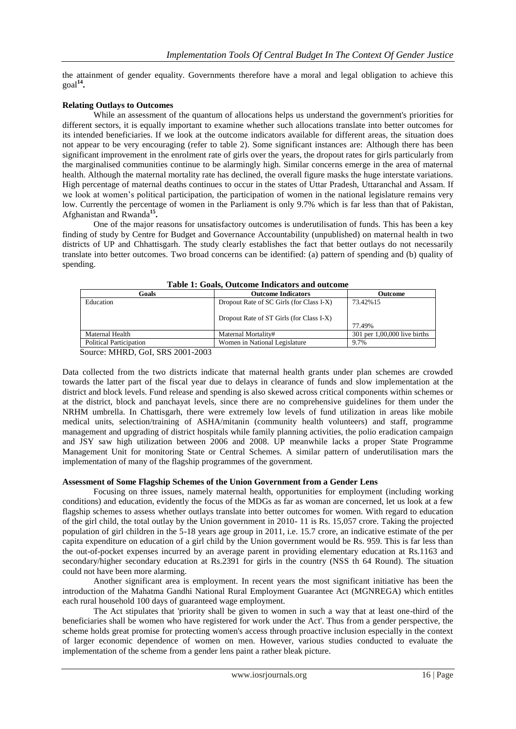the attainment of gender equality. Governments therefore have a moral and legal obligation to achieve this goal**<sup>14</sup> .**

### **Relating Outlays to Outcomes**

While an assessment of the quantum of allocations helps us understand the government's priorities for different sectors, it is equally important to examine whether such allocations translate into better outcomes for its intended beneficiaries. If we look at the outcome indicators available for different areas, the situation does not appear to be very encouraging (refer to table 2). Some significant instances are: Although there has been significant improvement in the enrolment rate of girls over the years, the dropout rates for girls particularly from the marginalised communities continue to be alarmingly high. Similar concerns emerge in the area of maternal health. Although the maternal mortality rate has declined, the overall figure masks the huge interstate variations. High percentage of maternal deaths continues to occur in the states of Uttar Pradesh, Uttaranchal and Assam. If we look at women's political participation, the participation of women in the national legislature remains very low. Currently the percentage of women in the Parliament is only 9.7% which is far less than that of Pakistan, Afghanistan and Rwanda**<sup>15</sup> .**

One of the major reasons for unsatisfactory outcomes is underutilisation of funds. This has been a key finding of study by Centre for Budget and Governance Accountability (unpublished) on maternal health in two districts of UP and Chhattisgarh. The study clearly establishes the fact that better outlays do not necessarily translate into better outcomes. Two broad concerns can be identified: (a) pattern of spending and (b) quality of spending.

| Goals                          | <b>Outcome Indicators</b>                | <b>Outcome</b>                 |
|--------------------------------|------------------------------------------|--------------------------------|
| Education                      | Dropout Rate of SC Girls (for Class I-X) | 73.42%15                       |
|                                | Dropout Rate of ST Girls (for Class I-X) | 77.49%                         |
| Maternal Health                | Maternal Mortality#                      | $301$ per 1,00,000 live births |
| <b>Political Participation</b> | Women in National Legislature            | 9.7%                           |

**Table 1: Goals, Outcome Indicators and outcome**

Source: MHRD, GoI, SRS 2001-2003

Data collected from the two districts indicate that maternal health grants under plan schemes are crowded towards the latter part of the fiscal year due to delays in clearance of funds and slow implementation at the district and block levels. Fund release and spending is also skewed across critical components within schemes or at the district, block and panchayat levels, since there are no comprehensive guidelines for them under the NRHM umbrella. In Chattisgarh, there were extremely low levels of fund utilization in areas like mobile medical units, selection/training of ASHA/mitanin (community health volunteers) and staff, programme management and upgrading of district hospitals while family planning activities, the polio eradication campaign and JSY saw high utilization between 2006 and 2008. UP meanwhile lacks a proper State Programme Management Unit for monitoring State or Central Schemes. A similar pattern of underutilisation mars the implementation of many of the flagship programmes of the government.

### **Assessment of Some Flagship Schemes of the Union Government from a Gender Lens**

Focusing on three issues, namely maternal health, opportunities for employment (including working conditions) and education, evidently the focus of the MDGs as far as woman are concerned, let us look at a few flagship schemes to assess whether outlays translate into better outcomes for women. With regard to education of the girl child, the total outlay by the Union government in 2010- 11 is Rs. 15,057 crore. Taking the projected population of girl children in the 5-18 years age group in 2011, i.e. 15.7 crore, an indicative estimate of the per capita expenditure on education of a girl child by the Union government would be Rs. 959. This is far less than the out-of-pocket expenses incurred by an average parent in providing elementary education at Rs.1163 and secondary/higher secondary education at Rs.2391 for girls in the country (NSS th 64 Round). The situation could not have been more alarming.

Another significant area is employment. In recent years the most significant initiative has been the introduction of the Mahatma Gandhi National Rural Employment Guarantee Act (MGNREGA) which entitles each rural household 100 days of guaranteed wage employment.

The Act stipulates that 'priority shall be given to women in such a way that at least one-third of the beneficiaries shall be women who have registered for work under the Act'. Thus from a gender perspective, the scheme holds great promise for protecting women's access through proactive inclusion especially in the context of larger economic dependence of women on men. However, various studies conducted to evaluate the implementation of the scheme from a gender lens paint a rather bleak picture.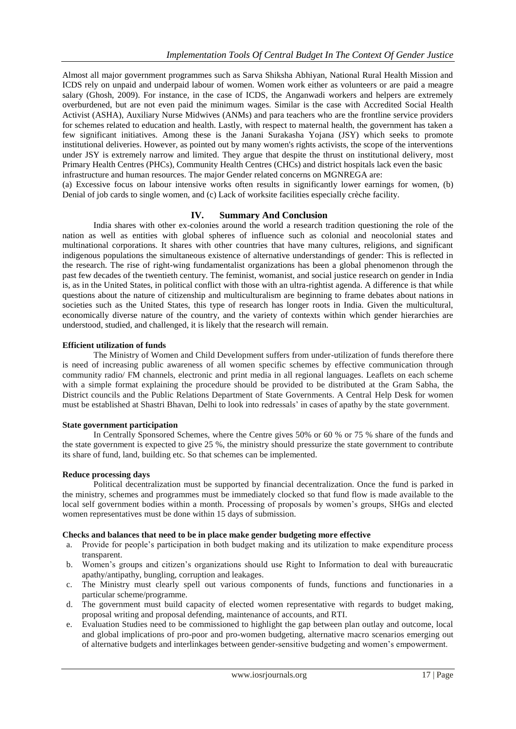Almost all major government programmes such as Sarva Shiksha Abhiyan, National Rural Health Mission and ICDS rely on unpaid and underpaid labour of women. Women work either as volunteers or are paid a meagre salary (Ghosh, 2009). For instance, in the case of ICDS, the Anganwadi workers and helpers are extremely overburdened, but are not even paid the minimum wages. Similar is the case with Accredited Social Health Activist (ASHA), Auxiliary Nurse Midwives (ANMs) and para teachers who are the frontline service providers for schemes related to education and health. Lastly, with respect to maternal health, the government has taken a few significant initiatives. Among these is the Janani Surakasha Yojana (JSY) which seeks to promote institutional deliveries. However, as pointed out by many women's rights activists, the scope of the interventions under JSY is extremely narrow and limited. They argue that despite the thrust on institutional delivery, most Primary Health Centres (PHCs), Community Health Centres (CHCs) and district hospitals lack even the basic infrastructure and human resources. The major Gender related concerns on MGNREGA are:

(a) Excessive focus on labour intensive works often results in significantly lower earnings for women, (b) Denial of job cards to single women, and (c) Lack of worksite facilities especially crèche facility.

### **IV. Summary And Conclusion**

India shares with other ex-colonies around the world a research tradition questioning the role of the nation as well as entities with global spheres of influence such as colonial and neocolonial states and multinational corporations. It shares with other countries that have many cultures, religions, and significant indigenous populations the simultaneous existence of alternative understandings of gender: This is reflected in the research. The rise of right-wing fundamentalist organizations has been a global phenomenon through the past few decades of the twentieth century. The feminist, womanist, and social justice research on gender in India is, as in the United States, in political conflict with those with an ultra-rightist agenda. A difference is that while questions about the nature of citizenship and multiculturalism are beginning to frame debates about nations in societies such as the United States, this type of research has longer roots in India. Given the multicultural, economically diverse nature of the country, and the variety of contexts within which gender hierarchies are understood, studied, and challenged, it is likely that the research will remain.

### **Efficient utilization of funds**

The Ministry of Women and Child Development suffers from under-utilization of funds therefore there is need of increasing public awareness of all women specific schemes by effective communication through community radio/ FM channels, electronic and print media in all regional languages. Leaflets on each scheme with a simple format explaining the procedure should be provided to be distributed at the Gram Sabha, the District councils and the Public Relations Department of State Governments. A Central Help Desk for women must be established at Shastri Bhavan, Delhi to look into redressals' in cases of apathy by the state government.

### **State government participation**

In Centrally Sponsored Schemes, where the Centre gives 50% or 60 % or 75 % share of the funds and the state government is expected to give 25 %, the ministry should pressurize the state government to contribute its share of fund, land, building etc. So that schemes can be implemented.

### **Reduce processing days**

Political decentralization must be supported by financial decentralization. Once the fund is parked in the ministry, schemes and programmes must be immediately clocked so that fund flow is made available to the local self government bodies within a month. Processing of proposals by women's groups, SHGs and elected women representatives must be done within 15 days of submission.

### **Checks and balances that need to be in place make gender budgeting more effective**

- a. Provide for people's participation in both budget making and its utilization to make expenditure process transparent.
- b. Women's groups and citizen's organizations should use Right to Information to deal with bureaucratic apathy/antipathy, bungling, corruption and leakages.
- c. The Ministry must clearly spell out various components of funds, functions and functionaries in a particular scheme/programme.
- d. The government must build capacity of elected women representative with regards to budget making, proposal writing and proposal defending, maintenance of accounts, and RTI.
- e. Evaluation Studies need to be commissioned to highlight the gap between plan outlay and outcome, local and global implications of pro-poor and pro-women budgeting, alternative macro scenarios emerging out of alternative budgets and interlinkages between gender-sensitive budgeting and women's empowerment.